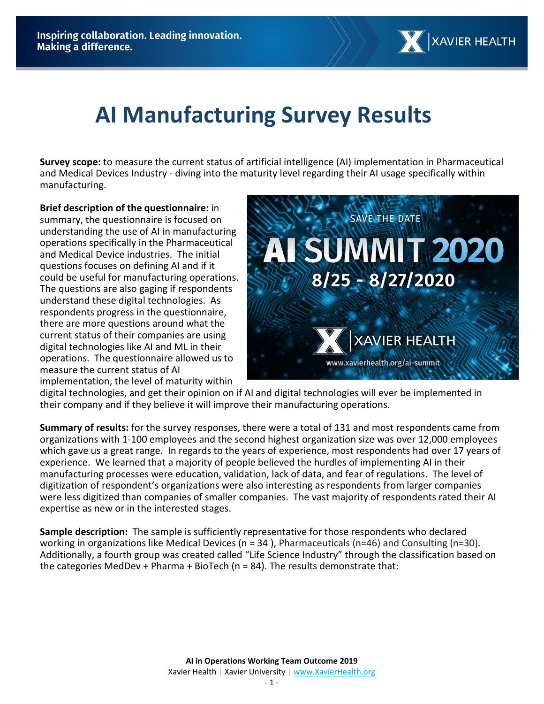# **AI Manufacturing Survey Results**

**Survey scope:** to measure the current status of artificial intelligence (AI) implementation in Pharmaceutical and Medical Devices Industry - diving into the maturity level regarding their AI usage specifically within manufacturing.

**Brief description of the questionnaire:** in summary, the questionnaire is focused on understanding the use of AI in manufacturing operations specifically in the Pharmaceutical and Medical Device industries. The initial questions focuses on defining AI and if it could be useful for manufacturing operations. The questions are also gaging if respondents understand these digital technologies. As respondents progress in the questionnaire, there are more questions around what the current status of their companies are using digital technologies like AI and ML in their operations. The questionnaire allowed us to measure the current status of AI implementation, the level of maturity within



digital technologies, and get their opinion on if AI and digital technologies will ever be implemented in their company and if they believe it will improve their manufacturing operations.

**Summary of results:** for the survey responses, there were a total of 131 and most respondents came from organizations with 1-100 employees and the second highest organization size was over 12,000 employees which gave us a great range. In regards to the years of experience, most respondents had over 17 years of experience. We learned that a majority of people believed the hurdles of implementing AI in their manufacturing processes were education, validation, lack of data, and fear of regulations. The level of digitization of respondent's organizations were also interesting as respondents from larger companies were less digitized than companies of smaller companies. The vast majority of respondents rated their AI expertise as new or in the interested stages.

**Sample description:** The sample is sufficiently representative for those respondents who declared working in organizations like Medical Devices ( $n = 34$ ), Pharmaceuticals ( $n=46$ ) and Consulting ( $n=30$ ). Additionally, a fourth group was created called "Life Science Industry" through the classification based on the categories MedDev + Pharma + BioTech (n = 84). The results demonstrate that: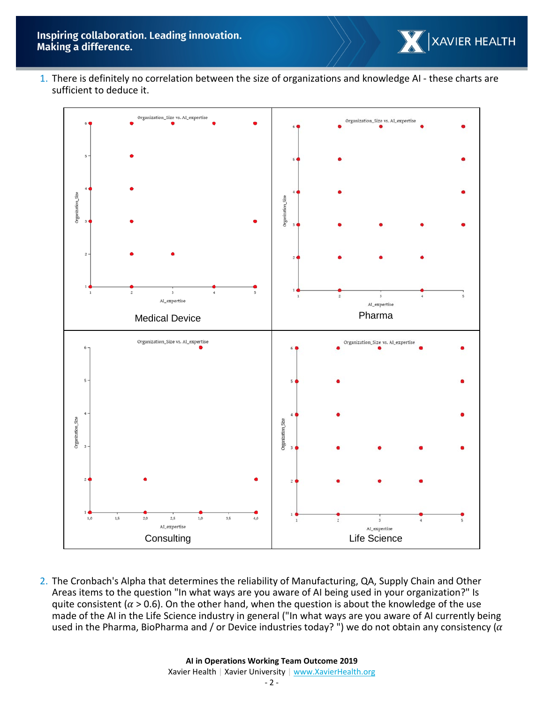

1. There is definitely no correlation between the size of organizations and knowledge AI - these charts are sufficient to deduce it.



2. The Cronbach's Alpha that determines the reliability of Manufacturing, QA, Supply Chain and Other Areas items to the question "In what ways are you aware of AI being used in your organization?" Is quite consistent ( $\alpha$  > 0.6). On the other hand, when the question is about the knowledge of the use made of the AI in the Life Science industry in general ("In what ways are you aware of AI currently being used in the Pharma, BioPharma and / or Device industries today? ") we do not obtain any consistency ( $\alpha$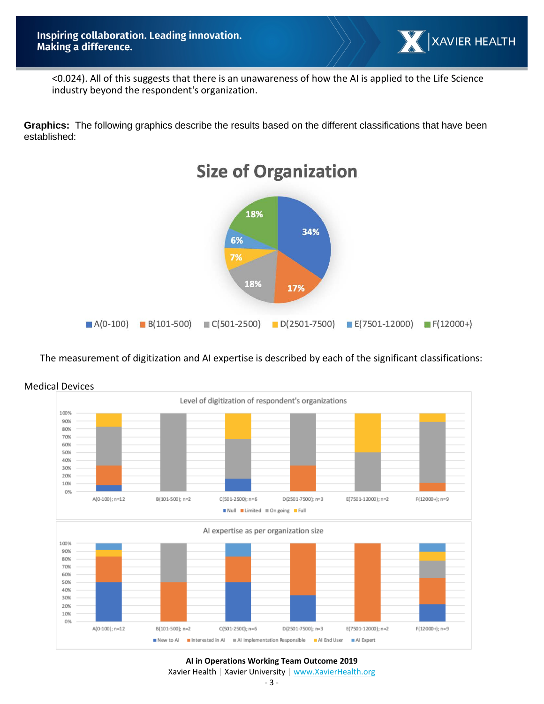

<0.024). All of this suggests that there is an unawareness of how the AI is applied to the Life Science industry beyond the respondent's organization.

**Graphics:** The following graphics describe the results based on the different classifications that have been established:



# The measurement of digitization and AI expertise is described by each of the significant classifications:



## Medical Devices

#### **AI in Operations Working Team Outcome 2019**

Xavier Health | Xavier University | [www.XavierHealth.org](http://www.xavierhealth.org/)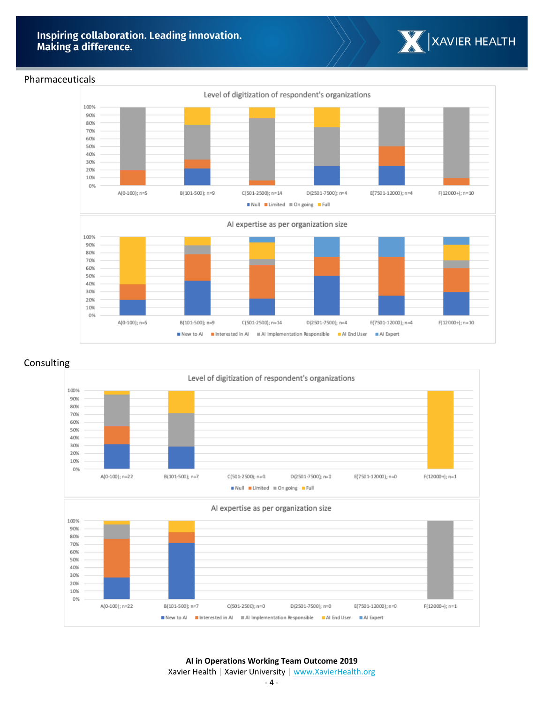

#### Pharmaceuticals



## Consulting



- 4 -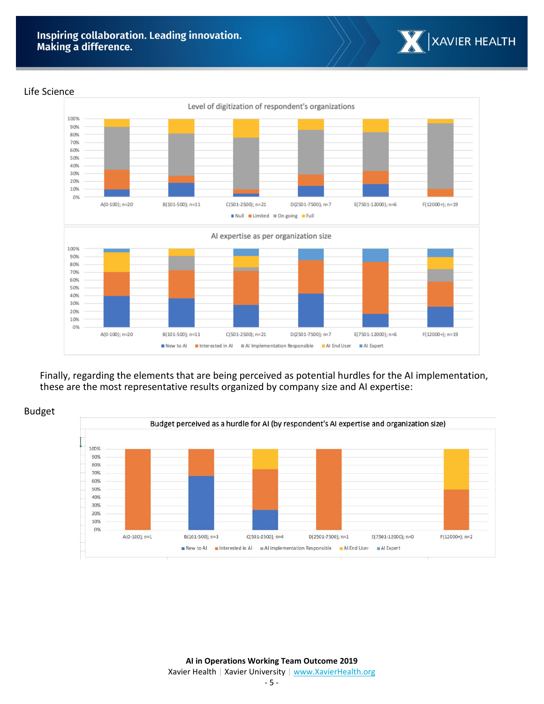

#### Life Science



Finally, regarding the elements that are being perceived as potential hurdles for the AI implementation, these are the most representative results organized by company size and AI expertise:



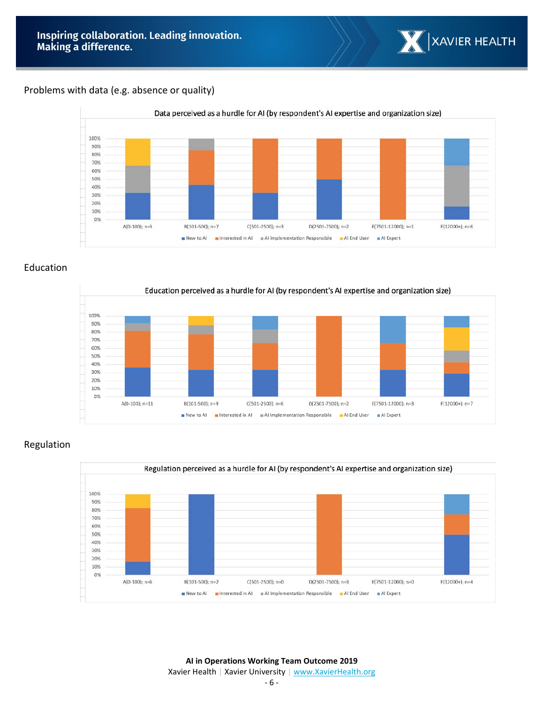

## Problems with data (e.g. absence or quality)



## Education



# Regulation



**AI in Operations Working Team Outcome 2019** Xavier Health | Xavier University | [www.XavierHealth.org](http://www.xavierhealth.org/)